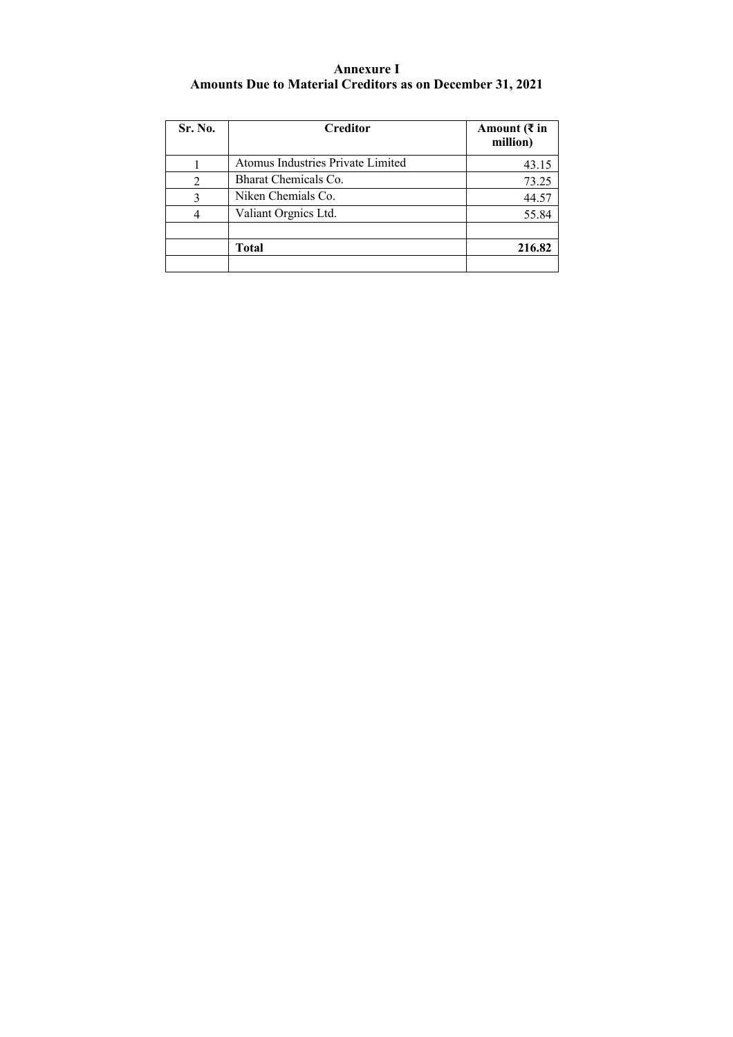## **Annexure I Amounts Due to Material Creditors as on December 31, 2021**

| Sr. No. | Creditor                          | Amount ( $\bar{\tau}$ in<br>million) |
|---------|-----------------------------------|--------------------------------------|
|         | Atomus Industries Private Limited | 43.15                                |
|         | Bharat Chemicals Co.              | 73.25                                |
| 3       | Niken Chemials Co.                | 44.57                                |
|         | Valiant Orgnics Ltd.              | 55.84                                |
|         | Total                             | 216.82                               |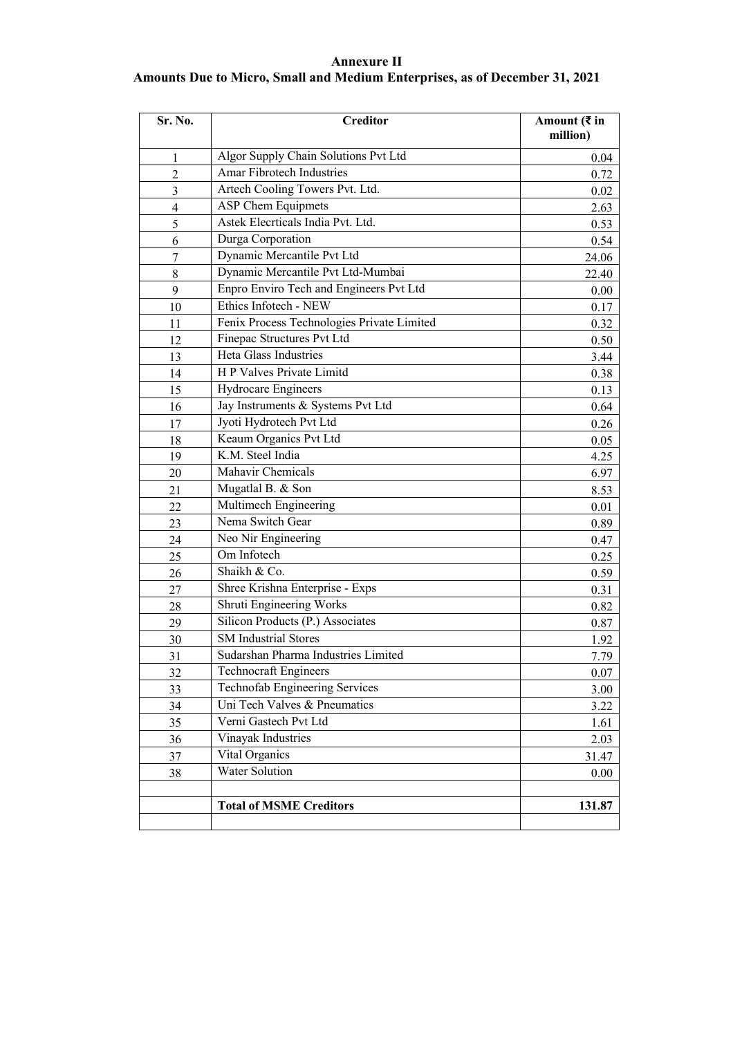## **Annexure II**

## **Amounts Due to Micro, Small and Medium Enterprises, as of December 31, 2021**

| Sr. No.        | <b>Creditor</b>                            | Amount ( $\bar{\tau}$ in<br>million) |
|----------------|--------------------------------------------|--------------------------------------|
| 1              | Algor Supply Chain Solutions Pvt Ltd       | 0.04                                 |
| $\overline{2}$ | Amar Fibrotech Industries                  | 0.72                                 |
| 3              | Artech Cooling Towers Pvt. Ltd.            | 0.02                                 |
| $\overline{4}$ | <b>ASP Chem Equipmets</b>                  | 2.63                                 |
| 5              | Astek Elecrticals India Pvt. Ltd.          | 0.53                                 |
| 6              | Durga Corporation                          | 0.54                                 |
| 7              | Dynamic Mercantile Pvt Ltd                 | 24.06                                |
| 8              | Dynamic Mercantile Pvt Ltd-Mumbai          | 22.40                                |
| 9              | Enpro Enviro Tech and Engineers Pvt Ltd    | 0.00                                 |
| 10             | Ethics Infotech - NEW                      | 0.17                                 |
| 11             | Fenix Process Technologies Private Limited | 0.32                                 |
| 12             | Finepac Structures Pvt Ltd                 | 0.50                                 |
| 13             | Heta Glass Industries                      | 3.44                                 |
| 14             | H P Valves Private Limitd                  | 0.38                                 |
| 15             | Hydrocare Engineers                        | 0.13                                 |
| 16             | Jay Instruments & Systems Pvt Ltd          | 0.64                                 |
| 17             | Jyoti Hydrotech Pvt Ltd                    | 0.26                                 |
| 18             | Keaum Organics Pvt Ltd                     | 0.05                                 |
| 19             | K.M. Steel India                           | 4.25                                 |
| 20             | Mahavir Chemicals                          | 6.97                                 |
| 21             | Mugatlal B. & Son                          | 8.53                                 |
| 22             | Multimech Engineering                      | 0.01                                 |
| 23             | Nema Switch Gear                           | 0.89                                 |
| 24             | Neo Nir Engineering                        | 0.47                                 |
| 25             | Om Infotech                                | 0.25                                 |
| 26             | Shaikh & Co.                               | 0.59                                 |
| 27             | Shree Krishna Enterprise - Exps            | 0.31                                 |
| 28             | Shruti Engineering Works                   | 0.82                                 |
| 29             | Silicon Products (P.) Associates           | 0.87                                 |
| 30             | <b>SM</b> Industrial Stores                | 1.92                                 |
| 31             | Sudarshan Pharma Industries Limited        | 7.79                                 |
| 32             | <b>Technocraft Engineers</b>               | 0.07                                 |
| 33             | Technofab Engineering Services             | 3.00                                 |
| 34             | Uni Tech Valves & Pneumatics               | 3.22                                 |
| 35             | Verni Gastech Pvt Ltd                      | 1.61                                 |
| 36             | Vinayak Industries                         | 2.03                                 |
| 37             | Vital Organics                             | 31.47                                |
| 38             | Water Solution                             | 0.00                                 |
|                |                                            |                                      |
|                | <b>Total of MSME Creditors</b>             | 131.87                               |
|                |                                            |                                      |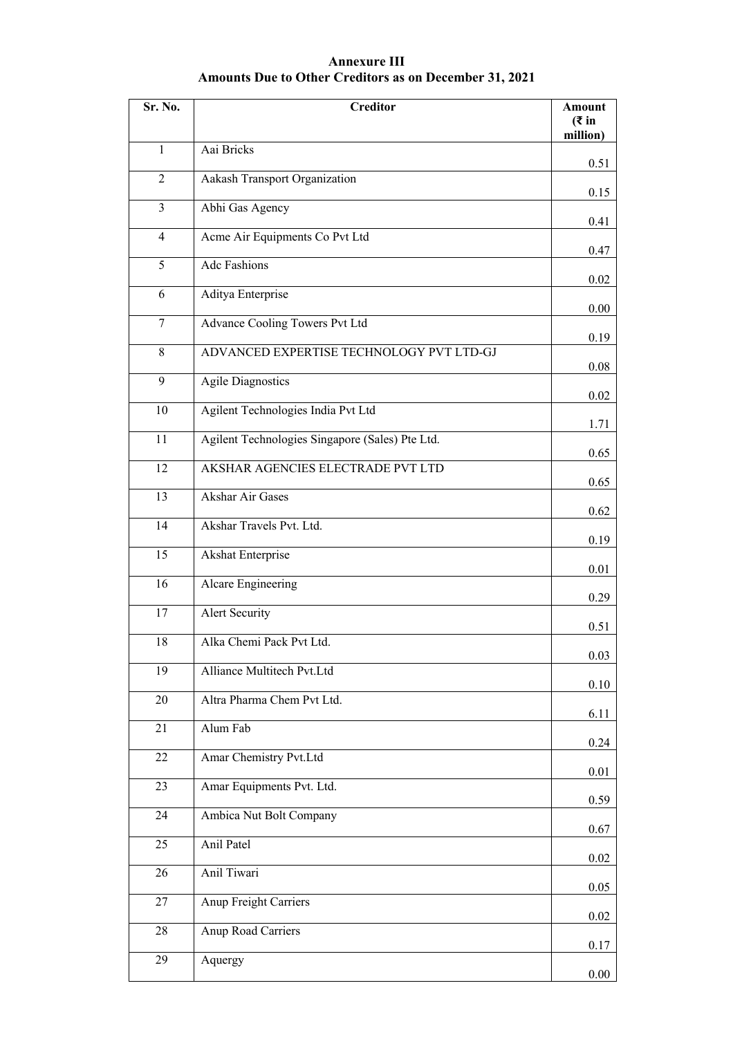## **Annexure III Amounts Due to Other Creditors as on December 31, 2021**

| Sr. No.         | <b>Creditor</b>                                 | Amount<br>( ₹ in<br>million) |
|-----------------|-------------------------------------------------|------------------------------|
| $\mathbf{1}$    | Aai Bricks                                      | 0.51                         |
| $\overline{2}$  | Aakash Transport Organization                   | 0.15                         |
| $\overline{3}$  | Abhi Gas Agency                                 | 0.41                         |
| $\overline{4}$  | Acme Air Equipments Co Pvt Ltd                  | 0.47                         |
| 5               | <b>Adc Fashions</b>                             | 0.02                         |
| 6               | Aditya Enterprise                               | 0.00                         |
| $\tau$          | Advance Cooling Towers Pvt Ltd                  | 0.19                         |
| 8               | ADVANCED EXPERTISE TECHNOLOGY PVT LTD-GJ        |                              |
| 9               | <b>Agile Diagnostics</b>                        | 0.08                         |
| 10              | Agilent Technologies India Pvt Ltd              | 0.02                         |
| 11              | Agilent Technologies Singapore (Sales) Pte Ltd. | 1.71                         |
| 12              | AKSHAR AGENCIES ELECTRADE PVT LTD               | 0.65                         |
| 13              | <b>Akshar Air Gases</b>                         | 0.65                         |
| 14              | Akshar Travels Pvt. Ltd.                        | 0.62                         |
| 15              | <b>Akshat Enterprise</b>                        | 0.19                         |
| $\overline{16}$ | Alcare Engineering                              | 0.01                         |
| 17              | <b>Alert Security</b>                           | 0.29                         |
| 18              | Alka Chemi Pack Pvt Ltd.                        | 0.51                         |
| 19              | Alliance Multitech Pvt.Ltd                      | 0.03                         |
| 20              | Altra Pharma Chem Pvt Ltd.                      | 0.10                         |
| 21              | Alum Fab                                        | 6.11                         |
| 22              | Amar Chemistry Pvt.Ltd                          | 0.24                         |
| 23              | Amar Equipments Pvt. Ltd.                       | 0.01                         |
| 24              | Ambica Nut Bolt Company                         | 0.59                         |
| 25              | Anil Patel                                      | 0.67                         |
| 26              | Anil Tiwari                                     | 0.02                         |
| 27              | Anup Freight Carriers                           | 0.05                         |
| 28              | Anup Road Carriers                              | 0.02                         |
|                 |                                                 | 0.17                         |
| 29              | Aquergy                                         | 0.00                         |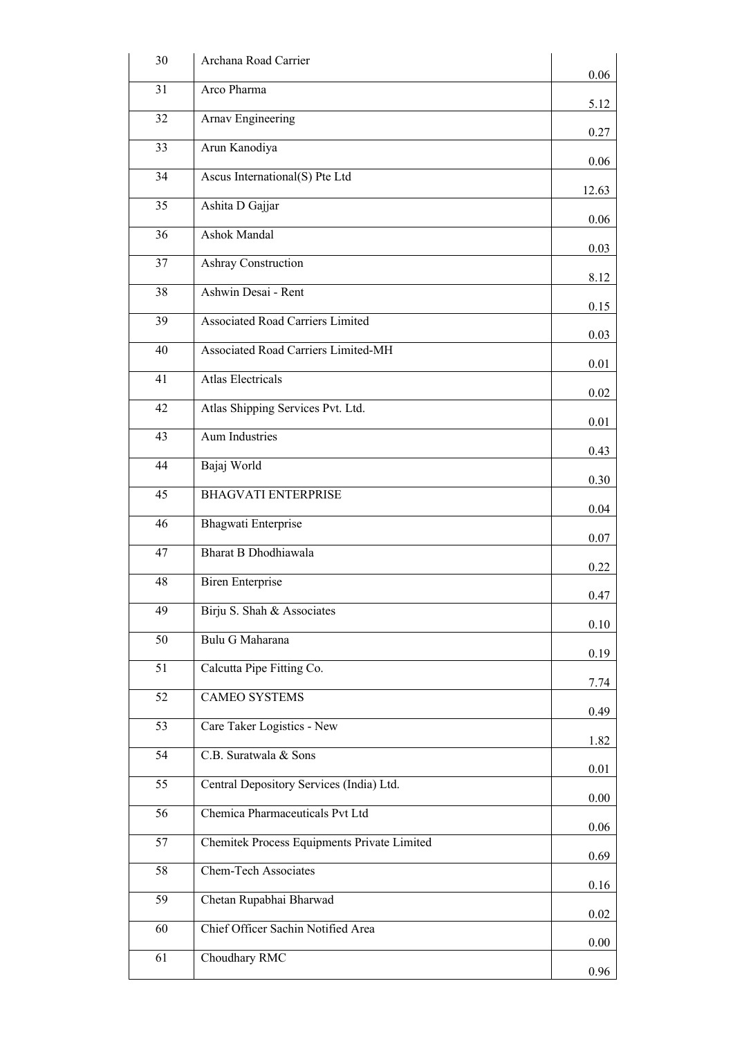| 30 | Archana Road Carrier                        | 0.06     |
|----|---------------------------------------------|----------|
| 31 | Arco Pharma                                 | 5.12     |
| 32 | Arnav Engineering                           | 0.27     |
| 33 | Arun Kanodiya                               |          |
| 34 | Ascus International(S) Pte Ltd              | 0.06     |
| 35 | Ashita D Gajjar                             | 12.63    |
| 36 | Ashok Mandal                                | 0.06     |
| 37 | Ashray Construction                         | 0.03     |
| 38 | Ashwin Desai - Rent                         | 8.12     |
| 39 | <b>Associated Road Carriers Limited</b>     | 0.15     |
| 40 | Associated Road Carriers Limited-MH         | 0.03     |
| 41 | <b>Atlas Electricals</b>                    | 0.01     |
| 42 | Atlas Shipping Services Pvt. Ltd.           | 0.02     |
| 43 | <b>Aum Industries</b>                       | 0.01     |
| 44 | Bajaj World                                 | 0.43     |
| 45 | <b>BHAGVATI ENTERPRISE</b>                  | 0.30     |
| 46 | Bhagwati Enterprise                         | 0.04     |
| 47 | Bharat B Dhodhiawala                        | 0.07     |
| 48 | <b>Biren Enterprise</b>                     | 0.22     |
| 49 | Birju S. Shah & Associates                  | 0.47     |
| 50 | Bulu G Maharana                             | 0.10     |
| 51 | Calcutta Pipe Fitting Co.                   | 0.19     |
| 52 | <b>CAMEO SYSTEMS</b>                        | 7.74     |
|    |                                             | 0.49     |
| 53 | Care Taker Logistics - New                  | 1.82     |
| 54 | C.B. Suratwala & Sons                       | 0.01     |
| 55 | Central Depository Services (India) Ltd.    | 0.00     |
| 56 | Chemica Pharmaceuticals Pvt Ltd             | 0.06     |
| 57 | Chemitek Process Equipments Private Limited | 0.69     |
| 58 | Chem-Tech Associates                        | 0.16     |
| 59 | Chetan Rupabhai Bharwad                     | 0.02     |
| 60 | Chief Officer Sachin Notified Area          | $0.00\,$ |
| 61 | Choudhary RMC                               | 0.96     |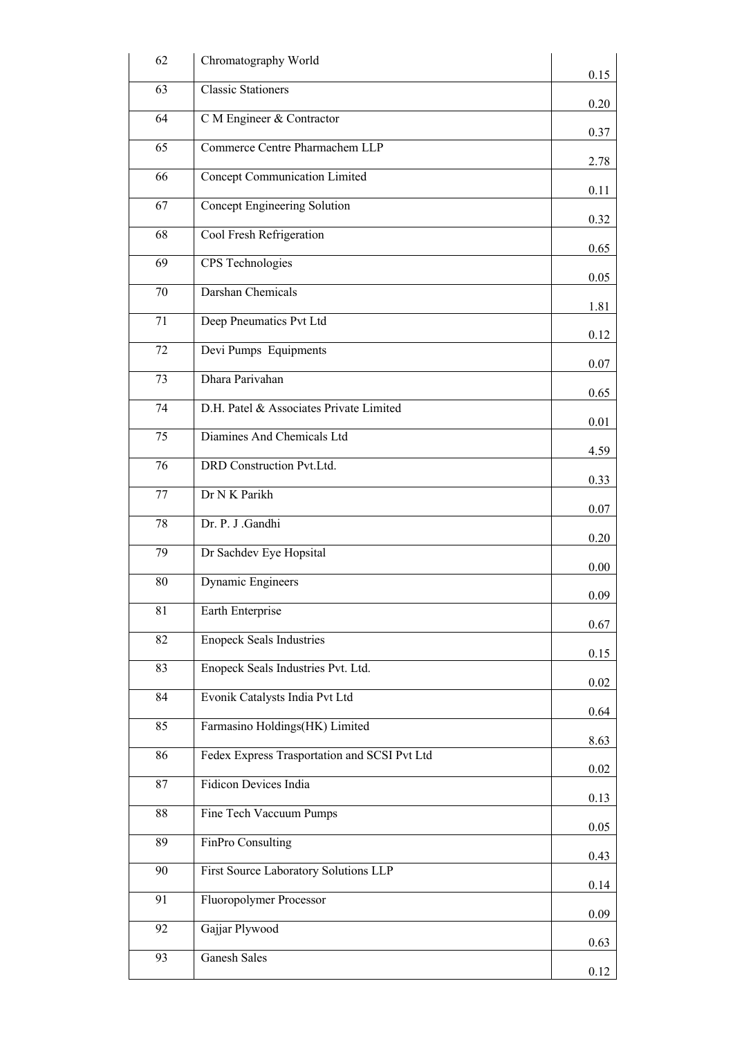| 62 | Chromatography World                         |      |
|----|----------------------------------------------|------|
| 63 | <b>Classic Stationers</b>                    | 0.15 |
| 64 | C M Engineer & Contractor                    | 0.20 |
| 65 | Commerce Centre Pharmachem LLP               | 0.37 |
| 66 | Concept Communication Limited                | 2.78 |
| 67 | Concept Engineering Solution                 | 0.11 |
| 68 | Cool Fresh Refrigeration                     | 0.32 |
| 69 | CPS Technologies                             | 0.65 |
| 70 | Darshan Chemicals                            | 0.05 |
| 71 | Deep Pneumatics Pvt Ltd                      | 1.81 |
| 72 | Devi Pumps Equipments                        | 0.12 |
| 73 | Dhara Parivahan                              | 0.07 |
| 74 | D.H. Patel & Associates Private Limited      | 0.65 |
| 75 | Diamines And Chemicals Ltd                   | 0.01 |
| 76 | DRD Construction Pvt.Ltd.                    | 4.59 |
| 77 | Dr N K Parikh                                | 0.33 |
| 78 | Dr. P. J .Gandhi                             | 0.07 |
| 79 | Dr Sachdev Eye Hopsital                      | 0.20 |
| 80 | Dynamic Engineers                            | 0.00 |
| 81 | Earth Enterprise                             | 0.09 |
| 82 | <b>Enopeck Seals Industries</b>              | 0.67 |
| 83 | Enopeck Seals Industries Pvt. Ltd.           | 0.15 |
| 84 | Evonik Catalysts India Pvt Ltd               | 0.02 |
| 85 | Farmasino Holdings(HK) Limited               | 0.64 |
| 86 | Fedex Express Trasportation and SCSI Pvt Ltd | 8.63 |
| 87 | <b>Fidicon Devices India</b>                 | 0.02 |
| 88 |                                              | 0.13 |
|    | Fine Tech Vaccuum Pumps                      | 0.05 |
| 89 | FinPro Consulting                            | 0.43 |
| 90 | First Source Laboratory Solutions LLP        | 0.14 |
| 91 | Fluoropolymer Processor                      | 0.09 |
| 92 | Gajjar Plywood                               | 0.63 |
| 93 | <b>Ganesh Sales</b>                          | 0.12 |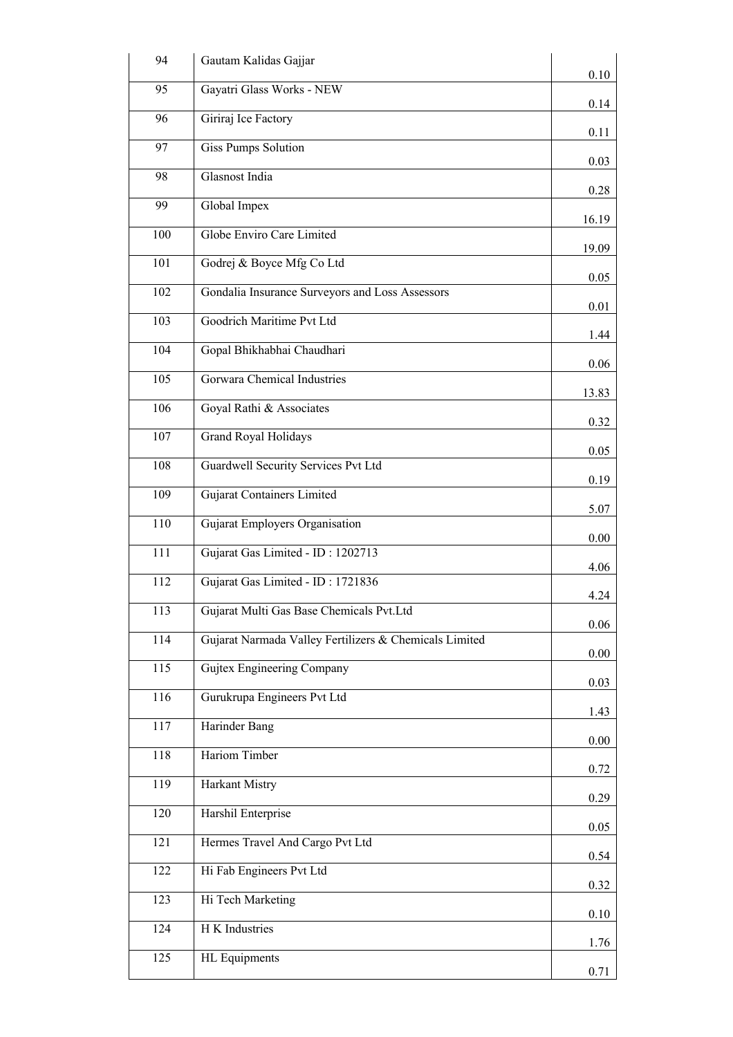| 94               | Gautam Kalidas Gajjar                                  | 0.10  |
|------------------|--------------------------------------------------------|-------|
| 95               | Gayatri Glass Works - NEW                              | 0.14  |
| 96               | Giriraj Ice Factory                                    | 0.11  |
| 97               | <b>Giss Pumps Solution</b>                             |       |
| 98               | Glasnost India                                         | 0.03  |
| 99               | Global Impex                                           | 0.28  |
| 100              | Globe Enviro Care Limited                              | 16.19 |
| 101              | Godrej & Boyce Mfg Co Ltd                              | 19.09 |
| 102              | Gondalia Insurance Surveyors and Loss Assessors        | 0.05  |
| 103              | Goodrich Maritime Pvt Ltd                              | 0.01  |
| 104              | Gopal Bhikhabhai Chaudhari                             | 1.44  |
| 105              | Gorwara Chemical Industries                            | 0.06  |
| 106              | Goyal Rathi & Associates                               | 13.83 |
|                  |                                                        | 0.32  |
| 107              | <b>Grand Royal Holidays</b>                            | 0.05  |
| 108              | Guardwell Security Services Pvt Ltd                    | 0.19  |
| 109              | <b>Gujarat Containers Limited</b>                      | 5.07  |
| 110              | Gujarat Employers Organisation                         | 0.00  |
| $\overline{111}$ | Gujarat Gas Limited - ID: 1202713                      | 4.06  |
| 112              | Gujarat Gas Limited - ID: 1721836                      | 4.24  |
| 113              | Gujarat Multi Gas Base Chemicals Pvt.Ltd               | 0.06  |
| 114              | Gujarat Narmada Valley Fertilizers & Chemicals Limited | 0.00  |
| 115              | Gujtex Engineering Company                             | 0.03  |
| 116              | Gurukrupa Engineers Pvt Ltd                            |       |
| 117              | Harinder Bang                                          | 1.43  |
| 118              | Hariom Timber                                          | 0.00  |
| 119              | Harkant Mistry                                         | 0.72  |
| 120              | Harshil Enterprise                                     | 0.29  |
| 121              | Hermes Travel And Cargo Pvt Ltd                        | 0.05  |
| 122              | Hi Fab Engineers Pvt Ltd                               | 0.54  |
| 123              | Hi Tech Marketing                                      | 0.32  |
| 124              | H K Industries                                         | 0.10  |
| 125              | <b>HL</b> Equipments                                   | 1.76  |
|                  |                                                        | 0.71  |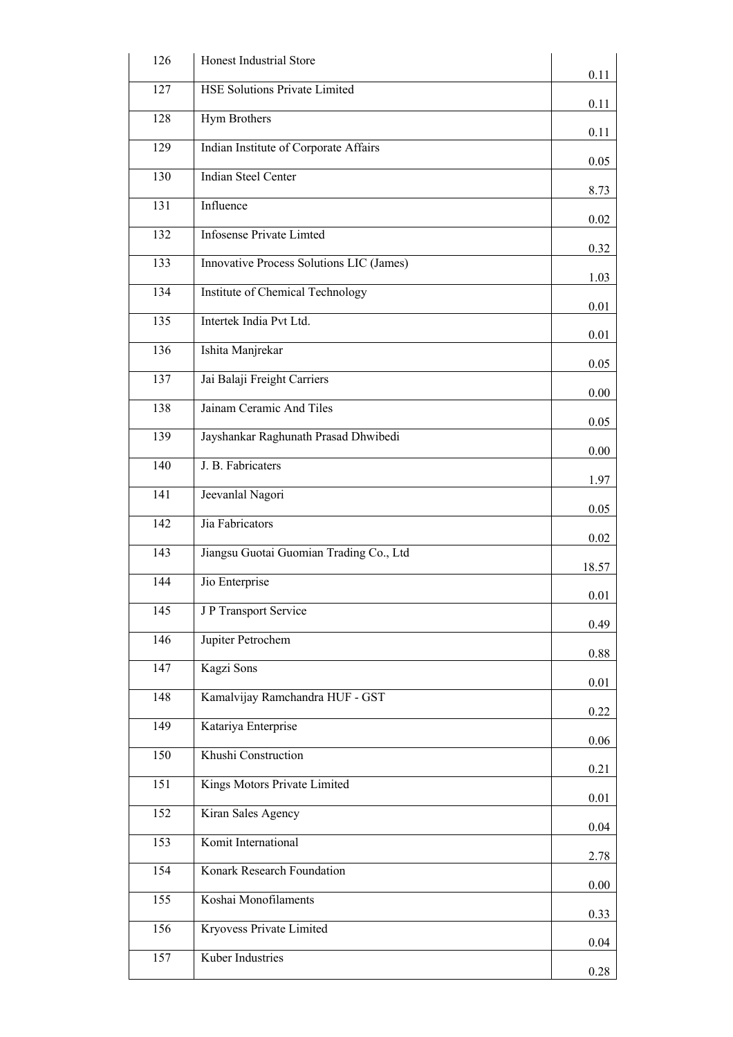| 126              | Honest Industrial Store                  |       |
|------------------|------------------------------------------|-------|
| 127              | <b>HSE Solutions Private Limited</b>     | 0.11  |
| 128              | Hym Brothers                             | 0.11  |
| 129              | Indian Institute of Corporate Affairs    | 0.11  |
| 130              | <b>Indian Steel Center</b>               | 0.05  |
|                  |                                          | 8.73  |
| 131              | Influence                                | 0.02  |
| 132              | <b>Infosense Private Limted</b>          | 0.32  |
| $\overline{133}$ | Innovative Process Solutions LIC (James) | 1.03  |
| 134              | Institute of Chemical Technology         | 0.01  |
| 135              | Intertek India Pvt Ltd.                  | 0.01  |
| 136              | Ishita Manjrekar                         | 0.05  |
| 137              | Jai Balaji Freight Carriers              |       |
| 138              | Jainam Ceramic And Tiles                 | 0.00  |
| 139              | Jayshankar Raghunath Prasad Dhwibedi     | 0.05  |
| 140              | J. B. Fabricaters                        | 0.00  |
| 141              | Jeevanlal Nagori                         | 1.97  |
| $\overline{142}$ | Jia Fabricators                          | 0.05  |
| 143              | Jiangsu Guotai Guomian Trading Co., Ltd  | 0.02  |
| 144              | Jio Enterprise                           | 18.57 |
|                  | J P Transport Service                    | 0.01  |
| 145              |                                          | 0.49  |
| 146              | Jupiter Petrochem                        | 0.88  |
| 147              | Kagzi Sons                               | 0.01  |
| 148              | Kamalvijay Ramchandra HUF - GST          | 0.22  |
| 149              | Katariya Enterprise                      | 0.06  |
| 150              | Khushi Construction                      | 0.21  |
| 151              | Kings Motors Private Limited             | 0.01  |
| 152              | Kiran Sales Agency                       |       |
| 153              | Komit International                      | 0.04  |
| 154              | Konark Research Foundation               | 2.78  |
| 155              | Koshai Monofilaments                     | 0.00  |
| 156              | Kryovess Private Limited                 | 0.33  |
| 157              | Kuber Industries                         | 0.04  |
|                  |                                          | 0.28  |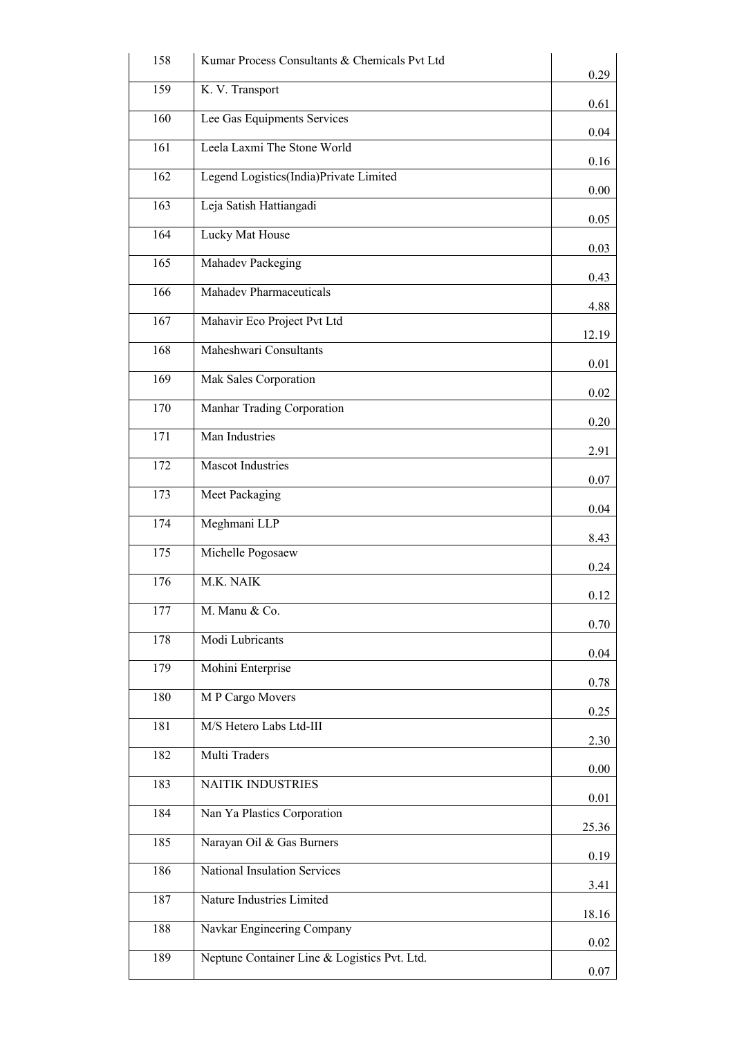| 158              | Kumar Process Consultants & Chemicals Pvt Ltd | 0.29  |
|------------------|-----------------------------------------------|-------|
| 159              | K. V. Transport                               | 0.61  |
| 160              | Lee Gas Equipments Services                   | 0.04  |
| 161              | Leela Laxmi The Stone World                   | 0.16  |
| $\overline{162}$ | Legend Logistics(India)Private Limited        | 0.00  |
| 163              | Leja Satish Hattiangadi                       | 0.05  |
| 164              | Lucky Mat House                               | 0.03  |
| $\overline{165}$ | Mahadev Packeging                             | 0.43  |
| 166              | <b>Mahadev Pharmaceuticals</b>                |       |
| 167              | Mahavir Eco Project Pvt Ltd                   | 4.88  |
| 168              | Maheshwari Consultants                        | 12.19 |
| 169              | Mak Sales Corporation                         | 0.01  |
| 170              | Manhar Trading Corporation                    | 0.02  |
| 171              | Man Industries                                | 0.20  |
| 172              | <b>Mascot Industries</b>                      | 2.91  |
| 173              | Meet Packaging                                | 0.07  |
| 174              | Meghmani LLP                                  | 0.04  |
| $\overline{1}75$ | Michelle Pogosaew                             | 8.43  |
| 176              | M.K. NAIK                                     | 0.24  |
| 177              | M. Manu & Co.                                 | 0.12  |
| 178              | Modi Lubricants                               | 0.70  |
| 179              | Mohini Enterprise                             | 0.04  |
| 180              | M P Cargo Movers                              | 0.78  |
|                  |                                               | 0.25  |
| 181              | M/S Hetero Labs Ltd-III                       | 2.30  |
| 182              | Multi Traders                                 | 0.00  |
| 183              | <b>NAITIK INDUSTRIES</b>                      | 0.01  |
| 184              | Nan Ya Plastics Corporation                   | 25.36 |
| 185              | Narayan Oil & Gas Burners                     | 0.19  |
| 186              | National Insulation Services                  | 3.41  |
| 187              | Nature Industries Limited                     | 18.16 |
| 188              | Navkar Engineering Company                    | 0.02  |
| 189              | Neptune Container Line & Logistics Pvt. Ltd.  | 0.07  |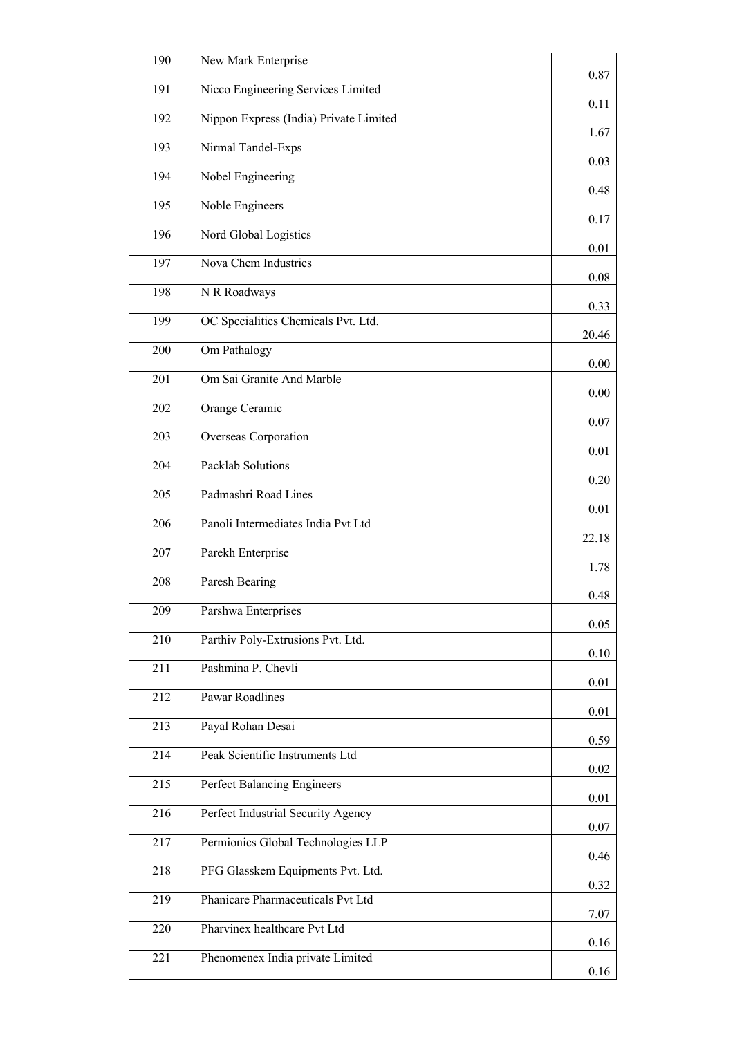| 190              | New Mark Enterprise                    | 0.87  |
|------------------|----------------------------------------|-------|
| 191              | Nicco Engineering Services Limited     |       |
| 192              | Nippon Express (India) Private Limited | 0.11  |
| 193              | Nirmal Tandel-Exps                     | 1.67  |
| 194              | Nobel Engineering                      | 0.03  |
| 195              | Noble Engineers                        | 0.48  |
| 196              | Nord Global Logistics                  | 0.17  |
| 197              | Nova Chem Industries                   | 0.01  |
| 198              | N R Roadways                           | 0.08  |
| 199              | OC Specialities Chemicals Pvt. Ltd.    | 0.33  |
| 200              | Om Pathalogy                           | 20.46 |
| 201              | Om Sai Granite And Marble              | 0.00  |
| 202              | Orange Ceramic                         | 0.00  |
| 203              | Overseas Corporation                   | 0.07  |
| 204              | Packlab Solutions                      | 0.01  |
| 205              | Padmashri Road Lines                   | 0.20  |
| 206              | Panoli Intermediates India Pvt Ltd     | 0.01  |
| 207              | Parekh Enterprise                      | 22.18 |
|                  |                                        | 1.78  |
| 208              | Paresh Bearing                         | 0.48  |
| 209              | Parshwa Enterprises                    | 0.05  |
| 210              | Parthiv Poly-Extrusions Pvt. Ltd.      | 0.10  |
| $\overline{211}$ | Pashmina P. Chevli                     | 0.01  |
| 212              | <b>Pawar Roadlines</b>                 | 0.01  |
| 213              | Payal Rohan Desai                      | 0.59  |
| 214              | Peak Scientific Instruments Ltd        | 0.02  |
| 215              | Perfect Balancing Engineers            |       |
| 216              | Perfect Industrial Security Agency     | 0.01  |
| 217              | Permionics Global Technologies LLP     | 0.07  |
| 218              | PFG Glasskem Equipments Pvt. Ltd.      | 0.46  |
| 219              | Phanicare Pharmaceuticals Pvt Ltd      | 0.32  |
| 220              | Pharvinex healthcare Pvt Ltd           | 7.07  |
| 221              | Phenomenex India private Limited       | 0.16  |
|                  |                                        | 0.16  |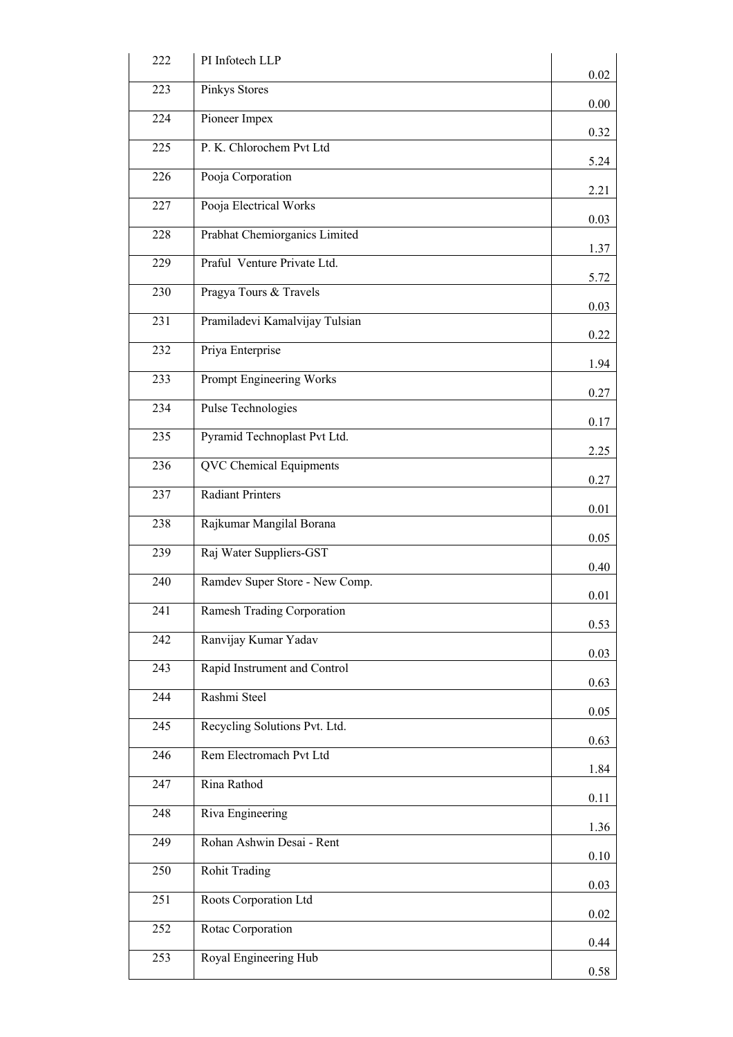| 222 | PI Infotech LLP                | 0.02 |
|-----|--------------------------------|------|
| 223 | Pinkys Stores                  | 0.00 |
| 224 | Pioneer Impex                  | 0.32 |
| 225 | P. K. Chlorochem Pvt Ltd       | 5.24 |
| 226 | Pooja Corporation              | 2.21 |
| 227 | Pooja Electrical Works         | 0.03 |
| 228 | Prabhat Chemiorganics Limited  | 1.37 |
| 229 | Praful Venture Private Ltd.    |      |
| 230 | Pragya Tours & Travels         | 5.72 |
| 231 | Pramiladevi Kamalvijay Tulsian | 0.03 |
| 232 | Priya Enterprise               | 0.22 |
| 233 | Prompt Engineering Works       | 1.94 |
| 234 | Pulse Technologies             | 0.27 |
| 235 | Pyramid Technoplast Pvt Ltd.   | 0.17 |
| 236 | <b>QVC</b> Chemical Equipments | 2.25 |
| 237 | <b>Radiant Printers</b>        | 0.27 |
| 238 | Rajkumar Mangilal Borana       | 0.01 |
| 239 | Raj Water Suppliers-GST        | 0.05 |
| 240 | Ramdev Super Store - New Comp. | 0.40 |
| 241 | Ramesh Trading Corporation     | 0.01 |
| 242 | Ranvijay Kumar Yadav           | 0.53 |
| 243 | Rapid Instrument and Control   | 0.03 |
| 244 | Rashmi Steel                   | 0.63 |
| 245 | Recycling Solutions Pvt. Ltd.  | 0.05 |
| 246 | Rem Electromach Pvt Ltd        | 0.63 |
| 247 | Rina Rathod                    | 1.84 |
| 248 | Riva Engineering               | 0.11 |
| 249 | Rohan Ashwin Desai - Rent      | 1.36 |
| 250 | <b>Rohit Trading</b>           | 0.10 |
| 251 |                                | 0.03 |
|     | Roots Corporation Ltd          | 0.02 |
| 252 | Rotac Corporation              | 0.44 |
| 253 | Royal Engineering Hub          | 0.58 |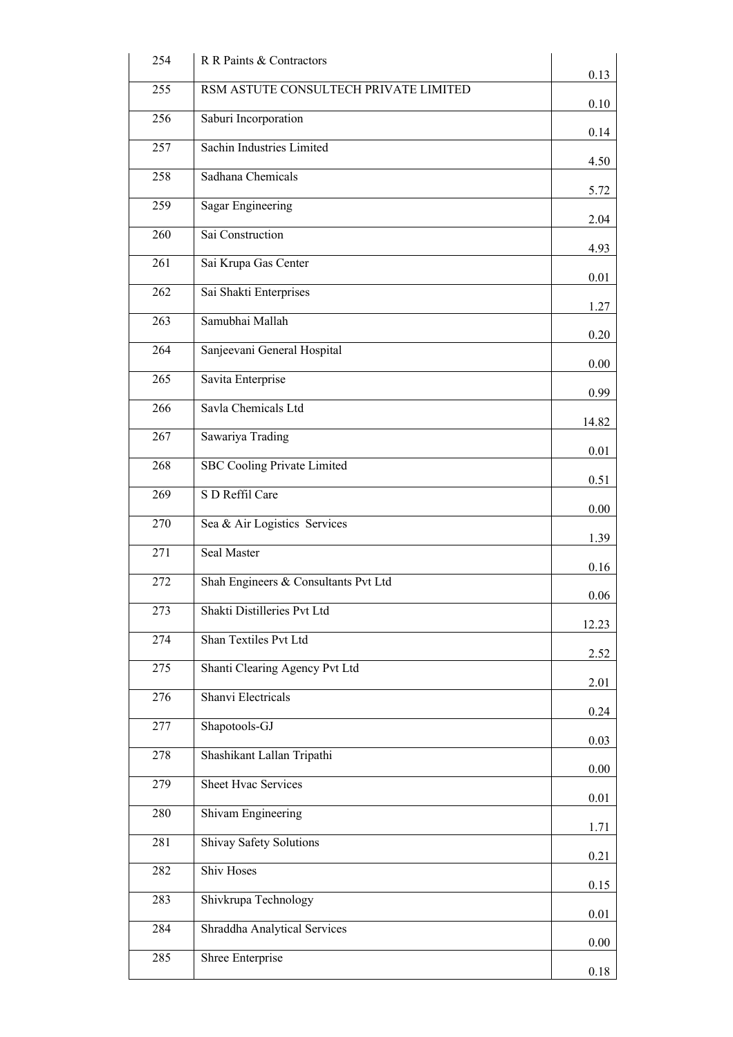| 254 | R R Paints & Contractors              | 0.13  |
|-----|---------------------------------------|-------|
| 255 | RSM ASTUTE CONSULTECH PRIVATE LIMITED | 0.10  |
| 256 | Saburi Incorporation                  | 0.14  |
| 257 | Sachin Industries Limited             | 4.50  |
| 258 | Sadhana Chemicals                     |       |
| 259 | <b>Sagar Engineering</b>              | 5.72  |
| 260 | Sai Construction                      | 2.04  |
| 261 | Sai Krupa Gas Center                  | 4.93  |
| 262 | Sai Shakti Enterprises                | 0.01  |
| 263 | Samubhai Mallah                       | 1.27  |
| 264 | Sanjeevani General Hospital           | 0.20  |
| 265 | Savita Enterprise                     | 0.00  |
| 266 | Savla Chemicals Ltd                   | 0.99  |
| 267 | Sawariya Trading                      | 14.82 |
| 268 | <b>SBC Cooling Private Limited</b>    | 0.01  |
| 269 | S D Reffil Care                       | 0.51  |
| 270 | Sea & Air Logistics Services          | 0.00  |
| 271 | Seal Master                           | 1.39  |
| 272 | Shah Engineers & Consultants Pvt Ltd  | 0.16  |
| 273 | Shakti Distilleries Pvt Ltd           | 0.06  |
| 274 | Shan Textiles Pvt Ltd                 | 12.23 |
| 275 | Shanti Clearing Agency Pvt Ltd        | 2.52  |
| 276 | Shanvi Electricals                    | 2.01  |
| 277 | Shapotools-GJ                         | 0.24  |
| 278 | Shashikant Lallan Tripathi            | 0.03  |
| 279 | <b>Sheet Hvac Services</b>            | 0.00  |
|     |                                       | 0.01  |
| 280 | Shivam Engineering                    | 1.71  |
| 281 | Shivay Safety Solutions               | 0.21  |
| 282 | <b>Shiv Hoses</b>                     | 0.15  |
| 283 | Shivkrupa Technology                  | 0.01  |
| 284 | Shraddha Analytical Services          | 0.00  |
| 285 | Shree Enterprise                      | 0.18  |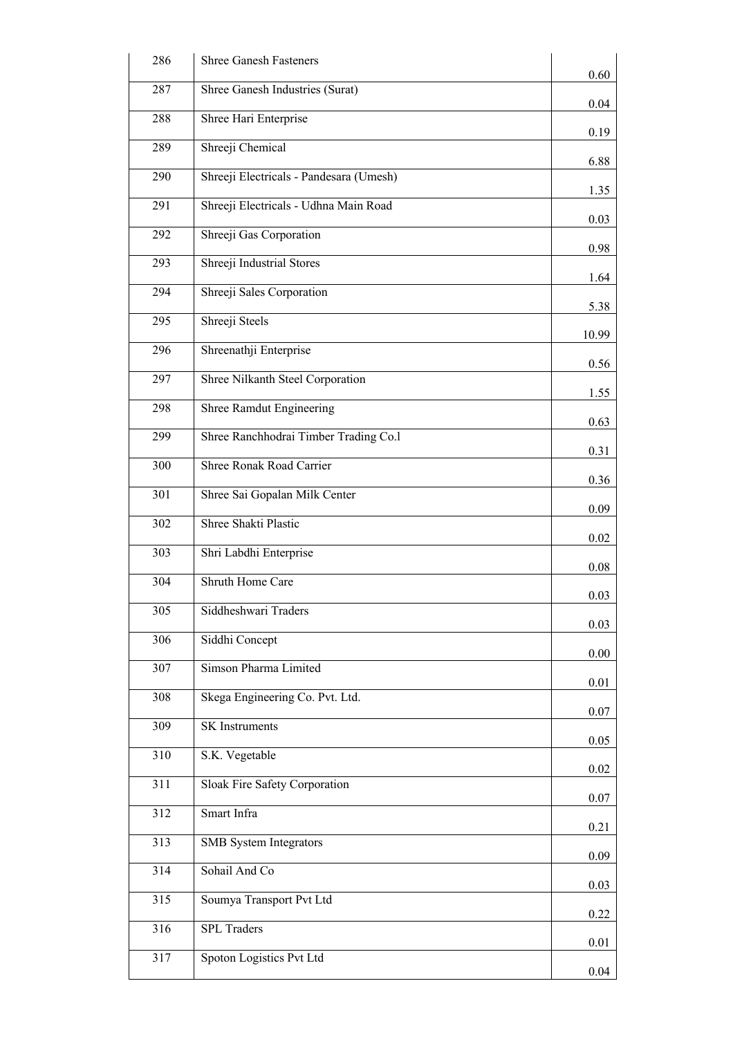| 286              | <b>Shree Ganesh Fasteners</b>           |       |
|------------------|-----------------------------------------|-------|
|                  |                                         | 0.60  |
| 287              | Shree Ganesh Industries (Surat)         | 0.04  |
| 288              | Shree Hari Enterprise                   | 0.19  |
| 289              | Shreeji Chemical                        | 6.88  |
| 290              | Shreeji Electricals - Pandesara (Umesh) | 1.35  |
| 291              | Shreeji Electricals - Udhna Main Road   | 0.03  |
| 292              | Shreeji Gas Corporation                 | 0.98  |
| 293              | Shreeji Industrial Stores               |       |
| 294              | Shreeji Sales Corporation               | 1.64  |
| 295              | Shreeji Steels                          | 5.38  |
| 296              | Shreenathji Enterprise                  | 10.99 |
| 297              | Shree Nilkanth Steel Corporation        | 0.56  |
| 298              | Shree Ramdut Engineering                | 1.55  |
| 299              | Shree Ranchhodrai Timber Trading Co.1   | 0.63  |
| 300              | Shree Ronak Road Carrier                | 0.31  |
|                  |                                         | 0.36  |
| 301              | Shree Sai Gopalan Milk Center           | 0.09  |
| 302              | Shree Shakti Plastic                    | 0.02  |
| 303              | Shri Labdhi Enterprise                  | 0.08  |
| 304              | Shruth Home Care                        | 0.03  |
| 305              | Siddheshwari Traders                    | 0.03  |
| 306              | Siddhi Concept                          | 0.00  |
| 307              | Simson Pharma Limited                   | 0.01  |
| 308              | Skega Engineering Co. Pvt. Ltd.         |       |
| 309              | <b>SK</b> Instruments                   | 0.07  |
| 310              | S.K. Vegetable                          | 0.05  |
| 311              | Sloak Fire Safety Corporation           | 0.02  |
| $\overline{312}$ | Smart Infra                             | 0.07  |
| 313              | <b>SMB</b> System Integrators           | 0.21  |
| 314              | Sohail And Co                           | 0.09  |
| $\overline{315}$ | Soumya Transport Pvt Ltd                | 0.03  |
| 316              | <b>SPL</b> Traders                      | 0.22  |
| 317              | Spoton Logistics Pvt Ltd                | 0.01  |
|                  |                                         | 0.04  |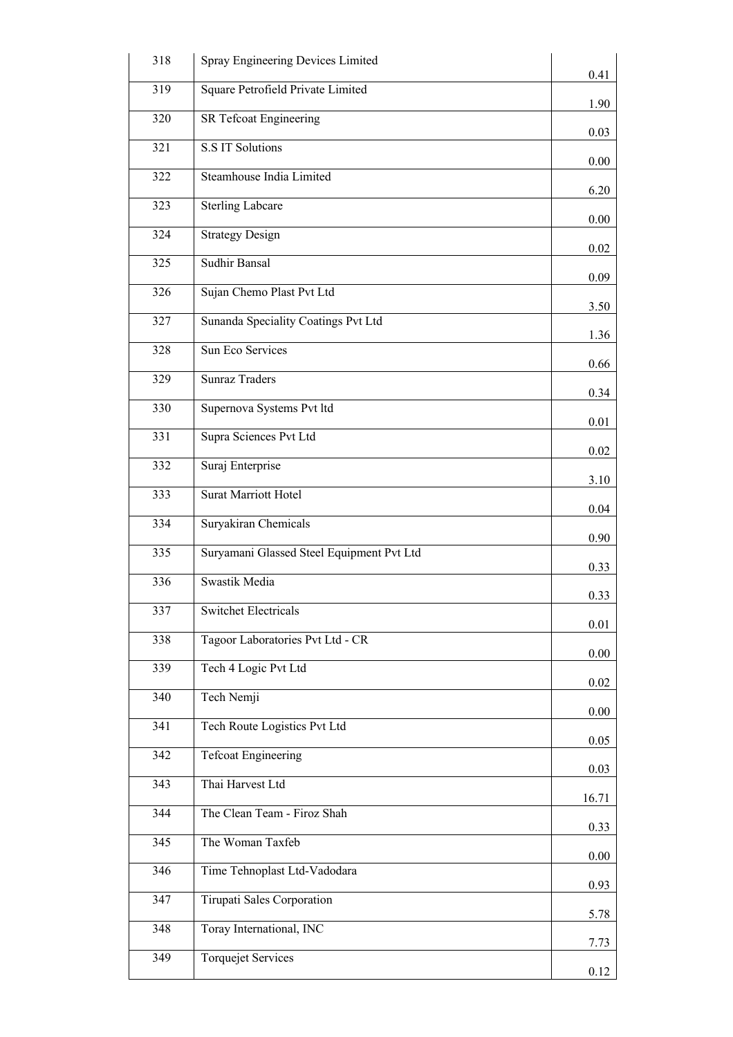| 318              | Spray Engineering Devices Limited         | 0.41         |
|------------------|-------------------------------------------|--------------|
| 319              | Square Petrofield Private Limited         |              |
| 320              | SR Tefcoat Engineering                    | 1.90<br>0.03 |
| 321              | <b>S.S IT Solutions</b>                   | 0.00         |
| 322              | Steamhouse India Limited                  |              |
| 323              | <b>Sterling Labcare</b>                   | 6.20         |
| 324              | Strategy Design                           | 0.00         |
| 325              | <b>Sudhir Bansal</b>                      | 0.02         |
| 326              | Sujan Chemo Plast Pvt Ltd                 | 0.09         |
| 327              | Sunanda Speciality Coatings Pvt Ltd       | 3.50         |
| 328              | Sun Eco Services                          | 1.36         |
| 329              | <b>Sunraz Traders</b>                     | 0.66         |
| 330              | Supernova Systems Pvt ltd                 | 0.34         |
| 331              | Supra Sciences Pvt Ltd                    | 0.01         |
| 332              | Suraj Enterprise                          | 0.02         |
| 333              | <b>Surat Marriott Hotel</b>               | 3.10         |
| 334              | Suryakiran Chemicals                      | 0.04         |
| $\overline{335}$ | Suryamani Glassed Steel Equipment Pvt Ltd | 0.90         |
| 336              | Swastik Media                             | 0.33         |
| 337              | <b>Switchet Electricals</b>               | 0.33         |
| 338              | Tagoor Laboratories Pvt Ltd - CR          | 0.01         |
| 339              | Tech 4 Logic Pvt Ltd                      | 0.00         |
| 340              | Tech Nemji                                | 0.02         |
| 341              | Tech Route Logistics Pvt Ltd              | 0.00         |
| 342              | <b>Tefcoat Engineering</b>                | 0.05         |
| 343              | Thai Harvest Ltd                          | 0.03         |
| 344              | The Clean Team - Firoz Shah               | 16.71        |
|                  | The Woman Taxfeb                          | 0.33         |
| 345              |                                           | 0.00         |
| 346              | Time Tehnoplast Ltd-Vadodara              | 0.93         |
| 347              | Tirupati Sales Corporation                | 5.78         |
| 348              | Toray International, INC                  | 7.73         |
| 349              | <b>Torquejet Services</b>                 | 0.12         |